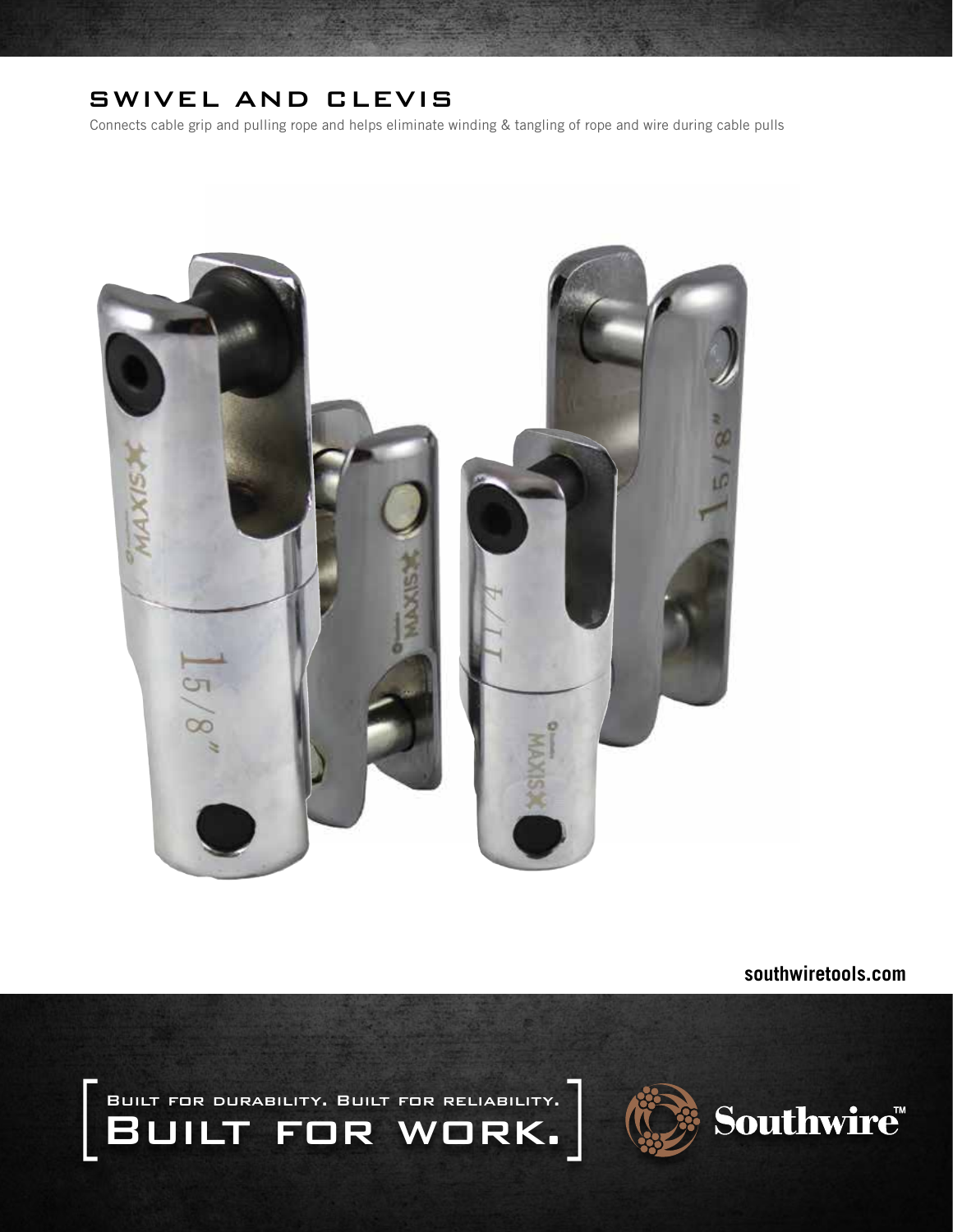## SWIVEL AND CLEVIS

Connects cable grip and pulling rope and helps eliminate winding & tangling of rope and wire during cable pulls



**southwiretools.com**

 Built for durability. Built for reliability. BUILT FOR WORK.